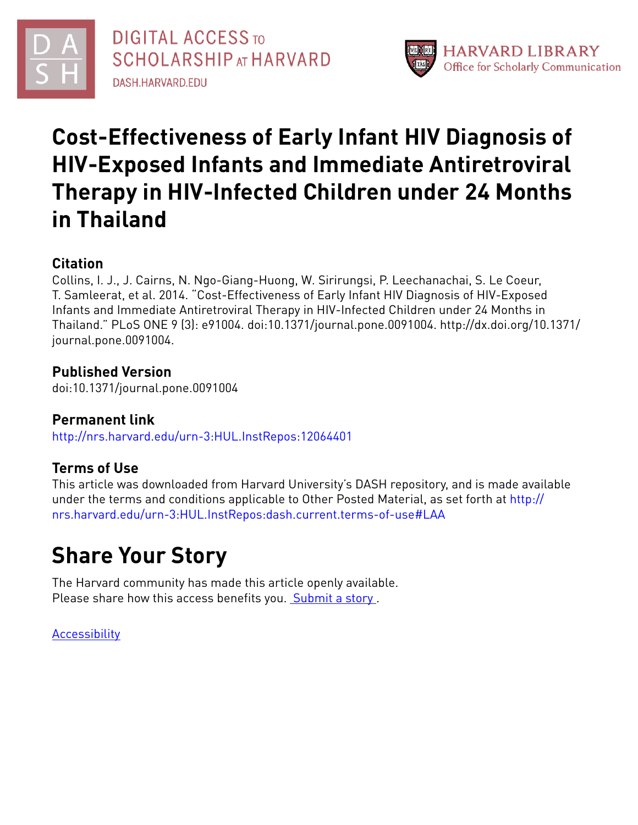



# **Cost-Effectiveness of Early Infant HIV Diagnosis of HIV-Exposed Infants and Immediate Antiretroviral Therapy in HIV-Infected Children under 24 Months in Thailand**

## **Citation**

Collins, I. J., J. Cairns, N. Ngo-Giang-Huong, W. Sirirungsi, P. Leechanachai, S. Le Coeur, T. Samleerat, et al. 2014. "Cost-Effectiveness of Early Infant HIV Diagnosis of HIV-Exposed Infants and Immediate Antiretroviral Therapy in HIV-Infected Children under 24 Months in Thailand." PLoS ONE 9 (3): e91004. doi:10.1371/journal.pone.0091004. http://dx.doi.org/10.1371/ journal.pone.0091004.

## **Published Version**

doi:10.1371/journal.pone.0091004

## **Permanent link**

<http://nrs.harvard.edu/urn-3:HUL.InstRepos:12064401>

## **Terms of Use**

This article was downloaded from Harvard University's DASH repository, and is made available under the terms and conditions applicable to Other Posted Material, as set forth at [http://](http://nrs.harvard.edu/urn-3:HUL.InstRepos:dash.current.terms-of-use#LAA) [nrs.harvard.edu/urn-3:HUL.InstRepos:dash.current.terms-of-use#LAA](http://nrs.harvard.edu/urn-3:HUL.InstRepos:dash.current.terms-of-use#LAA)

# **Share Your Story**

The Harvard community has made this article openly available. Please share how this access benefits you. [Submit](http://osc.hul.harvard.edu/dash/open-access-feedback?handle=&title=Cost-Effectiveness%20of%20Early%20Infant%20HIV%20Diagnosis%20of%20HIV-Exposed%20Infants%20and%20Immediate%20Antiretroviral%20Therapy%20in%20HIV-Infected%20Children%20under%2024%20Months%20in%20Thailand&community=1/4454687&collection=1/4454688&owningCollection1/4454688&harvardAuthors=4541aa9e0210e237972836c3691e5085&department) a story.

**[Accessibility](https://dash.harvard.edu/pages/accessibility)**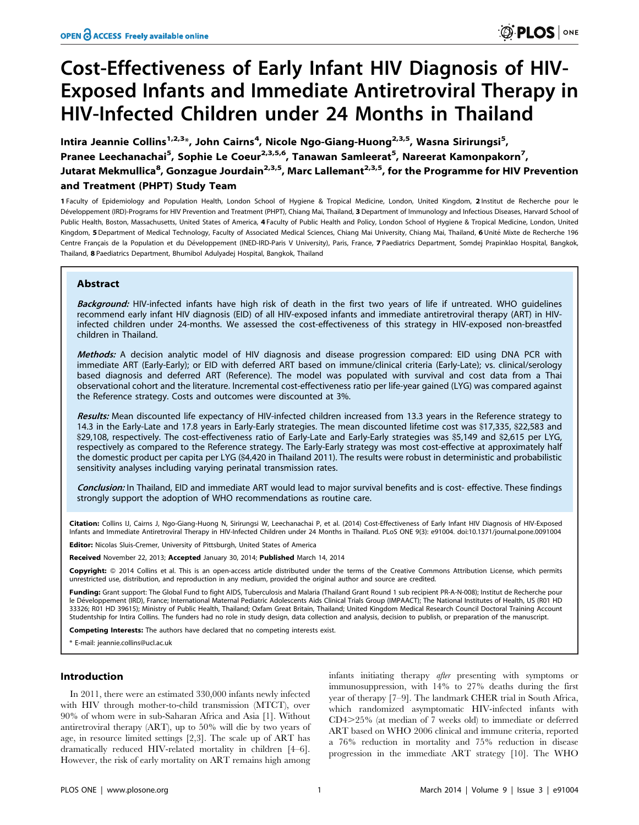# Cost-Effectiveness of Early Infant HIV Diagnosis of HIV-Exposed Infants and Immediate Antiretroviral Therapy in HIV-Infected Children under 24 Months in Thailand

Intira Jeannie Collins<sup>1,2,3</sup>\*, John Cairns<sup>4</sup>, Nicole Ngo-Giang-Huong<sup>2,3,5</sup>, Wasna Sirirungsi<sup>5</sup>, Pranee Leechanachai<sup>5</sup>, Sophie Le Coeur<sup>2,3,5,6</sup>, Tanawan Samleerat<sup>5</sup>, Nareerat Kamonpakorn<sup>7</sup>, Jutarat Mekmullica<sup>8</sup>, Gonzague Jourdain<sup>2,3,5</sup>, Marc Lallemant<sup>2,3,5</sup>, for the Programme for HIV Prevention and Treatment (PHPT) Study Team

1 Faculty of Epidemiology and Population Health, London School of Hygiene & Tropical Medicine, London, United Kingdom, 2 Institut de Recherche pour le Développement (IRD)-Programs for HIV Prevention and Treatment (PHPT), Chiang Mai, Thailand, 3 Department of Immunology and Infectious Diseases, Harvard School of Public Health, Boston, Massachusetts, United States of America, 4 Faculty of Public Health and Policy, London School of Hygiene & Tropical Medicine, London, United Kingdom, 5 Department of Medical Technology, Faculty of Associated Medical Sciences, Chiang Mai University, Chiang Mai, Thailand, 6 Unité Mixte de Recherche 196 Centre Français de la Population et du Développement (INED-IRD-Paris V University), Paris, France, 7 Paediatrics Department, Somdej Prapinklao Hospital, Bangkok, Thailand, 8 Paediatrics Department, Bhumibol Adulyadej Hospital, Bangkok, Thailand

### Abstract

Background: HIV-infected infants have high risk of death in the first two years of life if untreated. WHO guidelines recommend early infant HIV diagnosis (EID) of all HIV-exposed infants and immediate antiretroviral therapy (ART) in HIVinfected children under 24-months. We assessed the cost-effectiveness of this strategy in HIV-exposed non-breastfed children in Thailand.

Methods: A decision analytic model of HIV diagnosis and disease progression compared: EID using DNA PCR with immediate ART (Early-Early); or EID with deferred ART based on immune/clinical criteria (Early-Late); vs. clinical/serology based diagnosis and deferred ART (Reference). The model was populated with survival and cost data from a Thai observational cohort and the literature. Incremental cost-effectiveness ratio per life-year gained (LYG) was compared against the Reference strategy. Costs and outcomes were discounted at 3%.

Results: Mean discounted life expectancy of HIV-infected children increased from 13.3 years in the Reference strategy to 14.3 in the Early-Late and 17.8 years in Early-Early strategies. The mean discounted lifetime cost was \$17,335, \$22,583 and \$29,108, respectively. The cost-effectiveness ratio of Early-Late and Early-Early strategies was \$5,149 and \$2,615 per LYG, respectively as compared to the Reference strategy. The Early-Early strategy was most cost-effective at approximately half the domestic product per capita per LYG (\$4,420 in Thailand 2011). The results were robust in deterministic and probabilistic sensitivity analyses including varying perinatal transmission rates.

Conclusion: In Thailand, EID and immediate ART would lead to major survival benefits and is cost- effective. These findings strongly support the adoption of WHO recommendations as routine care.

**Citation:** Collins IJ, Cairns J, Ngo-Giang-Huong N, Sirirungsi W, Leechanachai P, et al. (2014) Cost-Effectiveness of Early Infant HIV Diagnosis of HIV-Exposed<br>Infants and Immediate Antiretroviral Therapy in HIV-Infected

**Editor:** Nicolas Sluis-Cremer, University of Pittsburgh, United States of America

Received November 22, 2013; Accepted January 30, 2014; Published March 14, 2014

Copyright: @ 2014 Collins et al. This is an open-access article distributed under the terms of the [Creative Commons Attribution License](http://creativecommons.org/licenses/by/4.0/), which permits unrestricted use, distribution, and reproduction in any medium, provided the original author and source are credited.

Funding: Grant support: The Global Fund to fight AIDS, Tuberculosis and Malaria (Thailand Grant Round 1 sub recipient PR-A-N-008); Institut de Recherche pour le Développement (IRD), France; International Maternal Pediatric Adolescents Aids Clinical Trials Group (IMPAACT); The National Institutes of Health, US (R01 HD 33326; R01 HD 39615); Ministry of Public Health, Thailand; Oxfam Great Britain, Thailand; United Kingdom Medical Research Council Doctoral Training Account Studentship for Intira Collins. The funders had no role in study design, data collection and analysis, decision to publish, or preparation of the manuscript.

Competing Interests: The authors have declared that no competing interests exist.

\* E-mail: jeannie.collins@ucl.ac.uk

#### Introduction

In 2011, there were an estimated 330,000 infants newly infected with HIV through mother-to-child transmission (MTCT), over 90% of whom were in sub-Saharan Africa and Asia [1]. Without antiretroviral therapy (ART), up to 50% will die by two years of age, in resource limited settings [2,3]. The scale up of ART has dramatically reduced HIV-related mortality in children [4–6]. However, the risk of early mortality on ART remains high among infants initiating therapy after presenting with symptoms or immunosuppression, with 14% to 27% deaths during the first year of therapy [7–9]. The landmark CHER trial in South Africa, which randomized asymptomatic HIV-infected infants with CD4.25% (at median of 7 weeks old) to immediate or deferred ART based on WHO 2006 clinical and immune criteria, reported a 76% reduction in mortality and 75% reduction in disease progression in the immediate ART strategy [10]. The WHO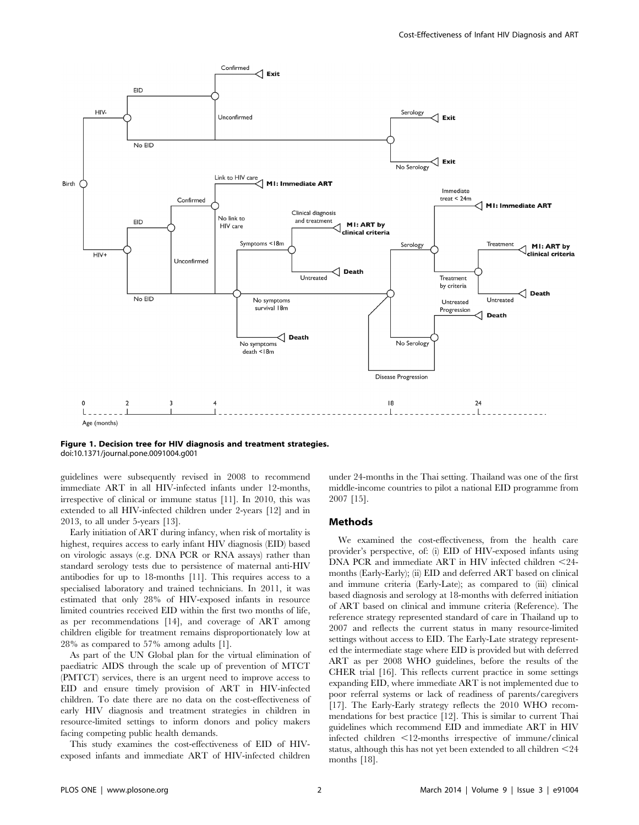

Figure 1. Decision tree for HIV diagnosis and treatment strategies. doi:10.1371/journal.pone.0091004.g001

guidelines were subsequently revised in 2008 to recommend immediate ART in all HIV-infected infants under 12-months, irrespective of clinical or immune status [11]. In 2010, this was extended to all HIV-infected children under 2-years [12] and in 2013, to all under 5-years [13].

Early initiation of ART during infancy, when risk of mortality is highest, requires access to early infant HIV diagnosis (EID) based on virologic assays (e.g. DNA PCR or RNA assays) rather than standard serology tests due to persistence of maternal anti-HIV antibodies for up to 18-months [11]. This requires access to a specialised laboratory and trained technicians. In 2011, it was estimated that only 28% of HIV-exposed infants in resource limited countries received EID within the first two months of life, as per recommendations [14], and coverage of ART among children eligible for treatment remains disproportionately low at 28% as compared to 57% among adults [1].

As part of the UN Global plan for the virtual elimination of paediatric AIDS through the scale up of prevention of MTCT (PMTCT) services, there is an urgent need to improve access to EID and ensure timely provision of ART in HIV-infected children. To date there are no data on the cost-effectiveness of early HIV diagnosis and treatment strategies in children in resource-limited settings to inform donors and policy makers facing competing public health demands.

This study examines the cost-effectiveness of EID of HIVexposed infants and immediate ART of HIV-infected children under 24-months in the Thai setting. Thailand was one of the first middle-income countries to pilot a national EID programme from 2007 [15].

#### Methods

We examined the cost-effectiveness, from the health care provider's perspective, of: (i) EID of HIV-exposed infants using DNA PCR and immediate ART in HIV infected children  $\leq$ 24months (Early-Early); (ii) EID and deferred ART based on clinical and immune criteria (Early-Late); as compared to (iii) clinical based diagnosis and serology at 18-months with deferred initiation of ART based on clinical and immune criteria (Reference). The reference strategy represented standard of care in Thailand up to 2007 and reflects the current status in many resource-limited settings without access to EID. The Early-Late strategy represented the intermediate stage where EID is provided but with deferred ART as per 2008 WHO guidelines, before the results of the CHER trial [16]. This reflects current practice in some settings expanding EID, where immediate ART is not implemented due to poor referral systems or lack of readiness of parents/caregivers [17]. The Early-Early strategy reflects the 2010 WHO recommendations for best practice [12]. This is similar to current Thai guidelines which recommend EID and immediate ART in HIV infected children  $\leq 12$ -months irrespective of immune/clinical status, although this has not yet been extended to all children  $<$  24 months [18].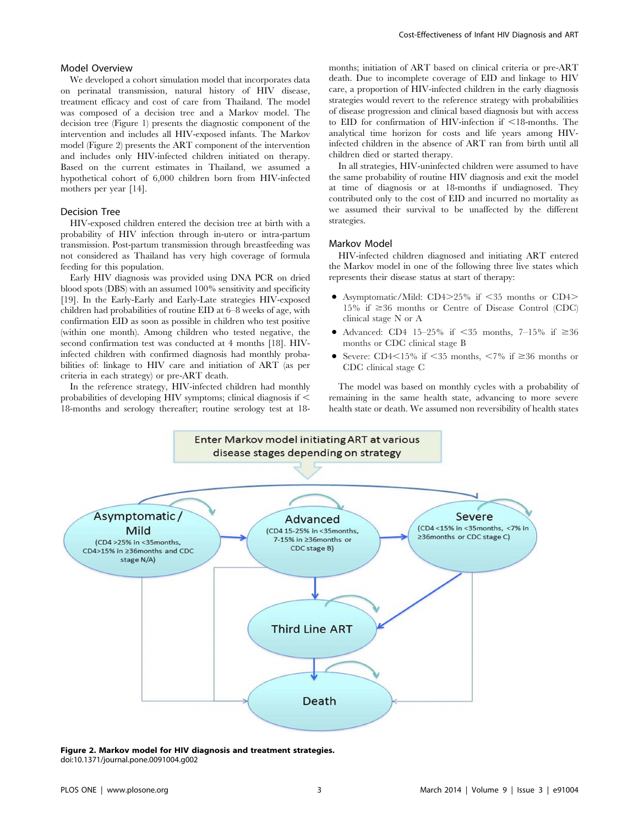#### Model Overview

We developed a cohort simulation model that incorporates data on perinatal transmission, natural history of HIV disease, treatment efficacy and cost of care from Thailand. The model was composed of a decision tree and a Markov model. The decision tree (Figure 1) presents the diagnostic component of the intervention and includes all HIV-exposed infants. The Markov model (Figure 2) presents the ART component of the intervention and includes only HIV-infected children initiated on therapy. Based on the current estimates in Thailand, we assumed a hypothetical cohort of 6,000 children born from HIV-infected mothers per year [14].

#### Decision Tree

HIV-exposed children entered the decision tree at birth with a probability of HIV infection through in-utero or intra-partum transmission. Post-partum transmission through breastfeeding was not considered as Thailand has very high coverage of formula feeding for this population.

Early HIV diagnosis was provided using DNA PCR on dried blood spots (DBS) with an assumed 100% sensitivity and specificity [19]. In the Early-Early and Early-Late strategies HIV-exposed children had probabilities of routine EID at 6–8 weeks of age, with confirmation EID as soon as possible in children who test positive (within one month). Among children who tested negative, the second confirmation test was conducted at 4 months [18]. HIVinfected children with confirmed diagnosis had monthly probabilities of: linkage to HIV care and initiation of ART (as per criteria in each strategy) or pre-ART death.

In the reference strategy, HIV-infected children had monthly probabilities of developing HIV symptoms; clinical diagnosis if  $\leq$ 18-months and serology thereafter; routine serology test at 18months; initiation of ART based on clinical criteria or pre-ART death. Due to incomplete coverage of EID and linkage to HIV care, a proportion of HIV-infected children in the early diagnosis strategies would revert to the reference strategy with probabilities of disease progression and clinical based diagnosis but with access to EID for confirmation of HIV-infection if  $\leq 18$ -months. The analytical time horizon for costs and life years among HIVinfected children in the absence of ART ran from birth until all children died or started therapy.

In all strategies, HIV-uninfected children were assumed to have the same probability of routine HIV diagnosis and exit the model at time of diagnosis or at 18-months if undiagnosed. They contributed only to the cost of EID and incurred no mortality as we assumed their survival to be unaffected by the different strategies.

#### Markov Model

HIV-infected children diagnosed and initiating ART entered the Markov model in one of the following three live states which represents their disease status at start of therapy:

- Asymptomatic/Mild:  $CD4>25\%$  if  $\leq 35$  months or  $CD4>$ 15% if  $\geq$ 36 months or Centre of Disease Control (CDC) clinical stage N or A
- Advanced: CD4 15–25% if  $\leq 35$  months, 7–15% if  $\geq 36$ months or CDC clinical stage B
- Severe: CD4 $\leq$ 15% if  $\leq$ 35 months,  $\leq$ 7% if  $\geq$ 36 months or CDC clinical stage C

The model was based on monthly cycles with a probability of remaining in the same health state, advancing to more severe health state or death. We assumed non reversibility of health states



Figure 2. Markov model for HIV diagnosis and treatment strategies. doi:10.1371/journal.pone.0091004.g002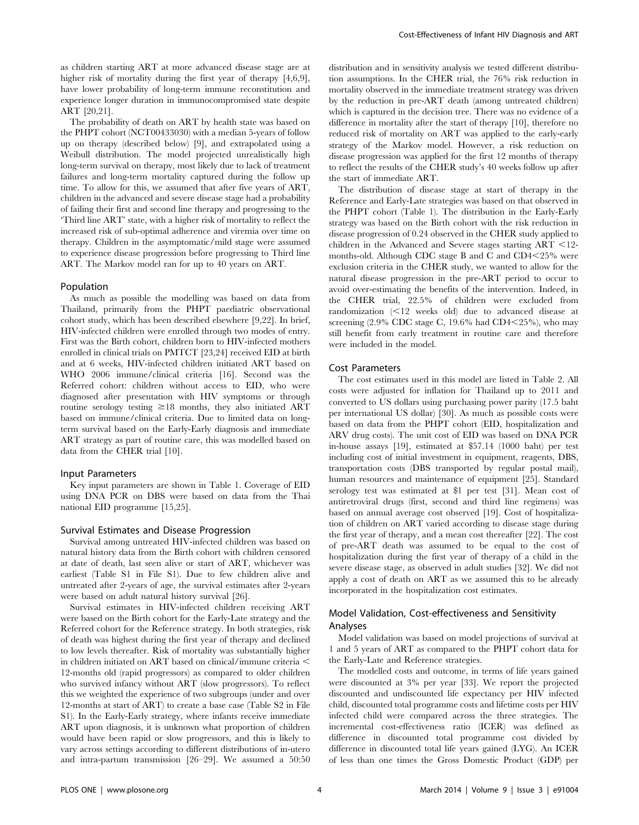as children starting ART at more advanced disease stage are at higher risk of mortality during the first year of therapy [4,6,9], have lower probability of long-term immune reconstitution and experience longer duration in immunocompromised state despite ART [20,21].

The probability of death on ART by health state was based on the PHPT cohort (NCT00433030) with a median 5-years of follow up on therapy (described below) [9], and extrapolated using a Weibull distribution. The model projected unrealistically high long-term survival on therapy, most likely due to lack of treatment failures and long-term mortality captured during the follow up time. To allow for this, we assumed that after five years of ART, children in the advanced and severe disease stage had a probability of failing their first and second line therapy and progressing to the 'Third line ART' state, with a higher risk of mortality to reflect the increased risk of sub-optimal adherence and viremia over time on therapy. Children in the asymptomatic/mild stage were assumed to experience disease progression before progressing to Third line ART. The Markov model ran for up to 40 years on ART.

#### Population

As much as possible the modelling was based on data from Thailand, primarily from the PHPT paediatric observational cohort study, which has been described elsewhere [9,22]. In brief, HIV-infected children were enrolled through two modes of entry. First was the Birth cohort, children born to HIV-infected mothers enrolled in clinical trials on PMTCT [23,24] received EID at birth and at 6 weeks, HIV-infected children initiated ART based on WHO 2006 immune/clinical criteria [16]. Second was the Referred cohort: children without access to EID, who were diagnosed after presentation with HIV symptoms or through routine serology testing  $\geq 18$  months, they also initiated ART based on immune/clinical criteria. Due to limited data on longterm survival based on the Early-Early diagnosis and immediate ART strategy as part of routine care, this was modelled based on data from the CHER trial [10].

#### Input Parameters

Key input parameters are shown in Table 1. Coverage of EID using DNA PCR on DBS were based on data from the Thai national EID programme [15,25].

#### Survival Estimates and Disease Progression

Survival among untreated HIV-infected children was based on natural history data from the Birth cohort with children censored at date of death, last seen alive or start of ART, whichever was earliest (Table S1 in File S1). Due to few children alive and untreated after 2-years of age, the survival estimates after 2-years were based on adult natural history survival [26].

Survival estimates in HIV-infected children receiving ART were based on the Birth cohort for the Early-Late strategy and the Referred cohort for the Reference strategy. In both strategies, risk of death was highest during the first year of therapy and declined to low levels thereafter. Risk of mortality was substantially higher in children initiated on ART based on clinical/immune criteria  $\leq$ 12-months old (rapid progressors) as compared to older children who survived infancy without ART (slow progressors). To reflect this we weighted the experience of two subgroups (under and over 12-months at start of ART) to create a base case (Table S2 in File S1). In the Early-Early strategy, where infants receive immediate ART upon diagnosis, it is unknown what proportion of children would have been rapid or slow progressors, and this is likely to vary across settings according to different distributions of in-utero and intra-partum transmission [26–29]. We assumed a 50:50 distribution and in sensitivity analysis we tested different distribution assumptions. In the CHER trial, the 76% risk reduction in mortality observed in the immediate treatment strategy was driven by the reduction in pre-ART death (among untreated children) which is captured in the decision tree. There was no evidence of a difference in mortality after the start of therapy [10], therefore no reduced risk of mortality on ART was applied to the early-early strategy of the Markov model. However, a risk reduction on disease progression was applied for the first 12 months of therapy to reflect the results of the CHER study's 40 weeks follow up after the start of immediate ART.

The distribution of disease stage at start of therapy in the Reference and Early-Late strategies was based on that observed in the PHPT cohort (Table 1). The distribution in the Early-Early strategy was based on the Birth cohort with the risk reduction in disease progression of 0.24 observed in the CHER study applied to children in the Advanced and Severe stages starting  $ART < 12$ months-old. Although CDC stage B and C and  $CD4<25\%$  were exclusion criteria in the CHER study, we wanted to allow for the natural disease progression in the pre-ART period to occur to avoid over-estimating the benefits of the intervention. Indeed, in the CHER trial, 22.5% of children were excluded from randomization  $\leq 12$  weeks old) due to advanced disease at screening  $(2.9\% \text{ CDC stage C}, 19.6\% \text{ had CD4} < 25\%), \text{ who may}$ still benefit from early treatment in routine care and therefore were included in the model.

#### Cost Parameters

The cost estimates used in this model are listed in Table 2. All costs were adjusted for inflation for Thailand up to 2011 and converted to US dollars using purchasing power parity (17.5 baht per international US dollar) [30]. As much as possible costs were based on data from the PHPT cohort (EID, hospitalization and ARV drug costs). The unit cost of EID was based on DNA PCR in-house assays [19], estimated at \$57.14 (1000 baht) per test including cost of initial investment in equipment, reagents, DBS, transportation costs (DBS transported by regular postal mail), human resources and maintenance of equipment [25]. Standard serology test was estimated at \$1 per test [31]. Mean cost of antiretroviral drugs (first, second and third line regimens) was based on annual average cost observed [19]. Cost of hospitalization of children on ART varied according to disease stage during the first year of therapy, and a mean cost thereafter [22]. The cost of pre-ART death was assumed to be equal to the cost of hospitalization during the first year of therapy of a child in the severe disease stage, as observed in adult studies [32]. We did not apply a cost of death on ART as we assumed this to be already incorporated in the hospitalization cost estimates.

### Model Validation, Cost-effectiveness and Sensitivity Analyses

Model validation was based on model projections of survival at 1 and 5 years of ART as compared to the PHPT cohort data for the Early-Late and Reference strategies.

The modelled costs and outcome, in terms of life years gained were discounted at 3% per year [33]. We report the projected discounted and undiscounted life expectancy per HIV infected child, discounted total programme costs and lifetime costs per HIV infected child were compared across the three strategies. The incremental cost-effectiveness ratio (ICER) was defined as difference in discounted total programme cost divided by difference in discounted total life years gained (LYG). An ICER of less than one times the Gross Domestic Product (GDP) per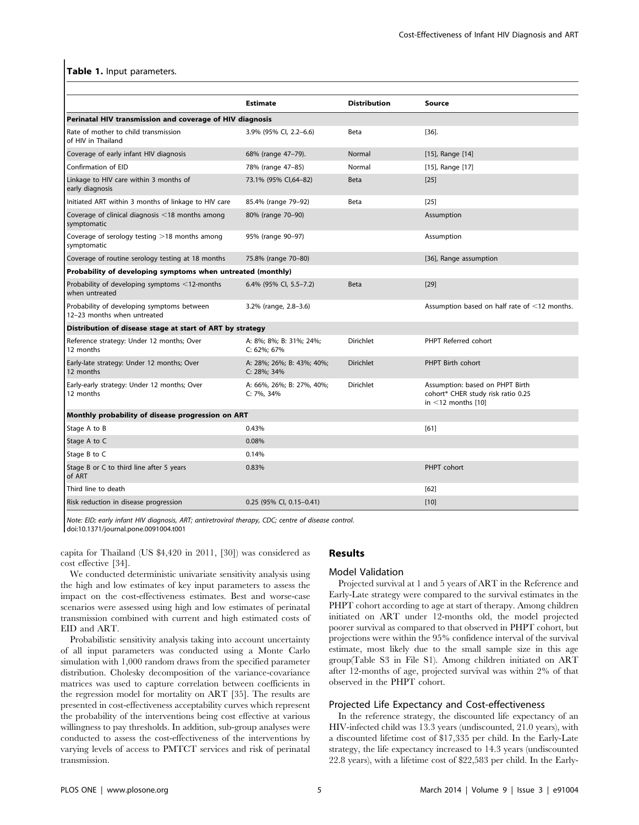#### Table 1. Input parameters.

|                                                                           | <b>Estimate</b>                          | <b>Distribution</b> | Source                                                                                            |  |  |  |
|---------------------------------------------------------------------------|------------------------------------------|---------------------|---------------------------------------------------------------------------------------------------|--|--|--|
| Perinatal HIV transmission and coverage of HIV diagnosis                  |                                          |                     |                                                                                                   |  |  |  |
| Rate of mother to child transmission<br>of HIV in Thailand                | 3.9% (95% Cl, 2.2-6.6)                   | Beta                | [36]                                                                                              |  |  |  |
| Coverage of early infant HIV diagnosis                                    | 68% (range 47-79).                       | Normal              | [15], Range [14]                                                                                  |  |  |  |
| Confirmation of EID                                                       | 78% (range 47-85)                        | Normal              | [15], Range [17]                                                                                  |  |  |  |
| Linkage to HIV care within 3 months of<br>early diagnosis                 | 73.1% (95% CI,64-82)                     | Beta                | $[25]$                                                                                            |  |  |  |
| Initiated ART within 3 months of linkage to HIV care                      | 85.4% (range 79-92)                      | Beta                | [25]                                                                                              |  |  |  |
| Coverage of clinical diagnosis $\leq$ 18 months among<br>symptomatic      | 80% (range 70-90)                        |                     | Assumption                                                                                        |  |  |  |
| Coverage of serology testing $>18$ months among<br>symptomatic            | 95% (range 90-97)                        |                     | Assumption                                                                                        |  |  |  |
| Coverage of routine serology testing at 18 months                         | 75.8% (range 70-80)                      |                     | [36], Range assumption                                                                            |  |  |  |
| Probability of developing symptoms when untreated (monthly)               |                                          |                     |                                                                                                   |  |  |  |
| Probability of developing symptoms <12-months<br>when untreated           | 6.4% (95% CI, 5.5-7.2)                   | Beta                | $[29]$                                                                                            |  |  |  |
| Probability of developing symptoms between<br>12-23 months when untreated | 3.2% (range, 2.8-3.6)                    |                     | Assumption based on half rate of $\leq$ 12 months.                                                |  |  |  |
| Distribution of disease stage at start of ART by strategy                 |                                          |                     |                                                                                                   |  |  |  |
| Reference strategy: Under 12 months; Over<br>12 months                    | A: 8%; 8%; B: 31%; 24%;<br>C: 62%; 67%   | Dirichlet           | PHPT Referred cohort                                                                              |  |  |  |
| Early-late strategy: Under 12 months; Over<br>12 months                   | A: 28%; 26%; B: 43%; 40%;<br>C: 28%; 34% | <b>Dirichlet</b>    | PHPT Birth cohort                                                                                 |  |  |  |
| Early-early strategy: Under 12 months; Over<br>12 months                  | A: 66%, 26%; B: 27%, 40%;<br>C: 7%, 34%  | Dirichlet           | Assumption: based on PHPT Birth<br>cohort* CHER study risk ratio 0.25<br>in $\leq$ 12 months [10] |  |  |  |
| Monthly probability of disease progression on ART                         |                                          |                     |                                                                                                   |  |  |  |
| Stage A to B                                                              | 0.43%                                    |                     | [61]                                                                                              |  |  |  |
| Stage A to C                                                              | 0.08%                                    |                     |                                                                                                   |  |  |  |
| Stage B to C                                                              | 0.14%                                    |                     |                                                                                                   |  |  |  |
| Stage B or C to third line after 5 years<br>of ART                        | 0.83%                                    |                     | PHPT cohort                                                                                       |  |  |  |
| Third line to death                                                       |                                          |                     | [62]                                                                                              |  |  |  |
| Risk reduction in disease progression                                     | 0.25 (95% CI, 0.15-0.41)                 |                     | $[10]$                                                                                            |  |  |  |

Note: EID; early infant HIV diagnosis, ART; antiretroviral therapy, CDC; centre of disease control. doi:10.1371/journal.pone.0091004.t001

capita for Thailand (US \$4,420 in 2011, [30]) was considered as cost effective [34].

We conducted deterministic univariate sensitivity analysis using the high and low estimates of key input parameters to assess the impact on the cost-effectiveness estimates. Best and worse-case scenarios were assessed using high and low estimates of perinatal transmission combined with current and high estimated costs of EID and ART.

Probabilistic sensitivity analysis taking into account uncertainty of all input parameters was conducted using a Monte Carlo simulation with 1,000 random draws from the specified parameter distribution. Cholesky decomposition of the variance-covariance matrices was used to capture correlation between coefficients in the regression model for mortality on ART [35]. The results are presented in cost-effectiveness acceptability curves which represent the probability of the interventions being cost effective at various willingness to pay thresholds. In addition, sub-group analyses were conducted to assess the cost-effectiveness of the interventions by varying levels of access to PMTCT services and risk of perinatal transmission.

## Results

#### Model Validation

Projected survival at 1 and 5 years of ART in the Reference and Early-Late strategy were compared to the survival estimates in the PHPT cohort according to age at start of therapy. Among children initiated on ART under 12-months old, the model projected poorer survival as compared to that observed in PHPT cohort, but projections were within the 95% confidence interval of the survival estimate, most likely due to the small sample size in this age group(Table S3 in File S1). Among children initiated on ART after 12-months of age, projected survival was within 2% of that observed in the PHPT cohort.

#### Projected Life Expectancy and Cost-effectiveness

In the reference strategy, the discounted life expectancy of an HIV-infected child was 13.3 years (undiscounted, 21.0 years), with a discounted lifetime cost of \$17,335 per child. In the Early-Late strategy, the life expectancy increased to 14.3 years (undiscounted 22.8 years), with a lifetime cost of \$22,583 per child. In the Early-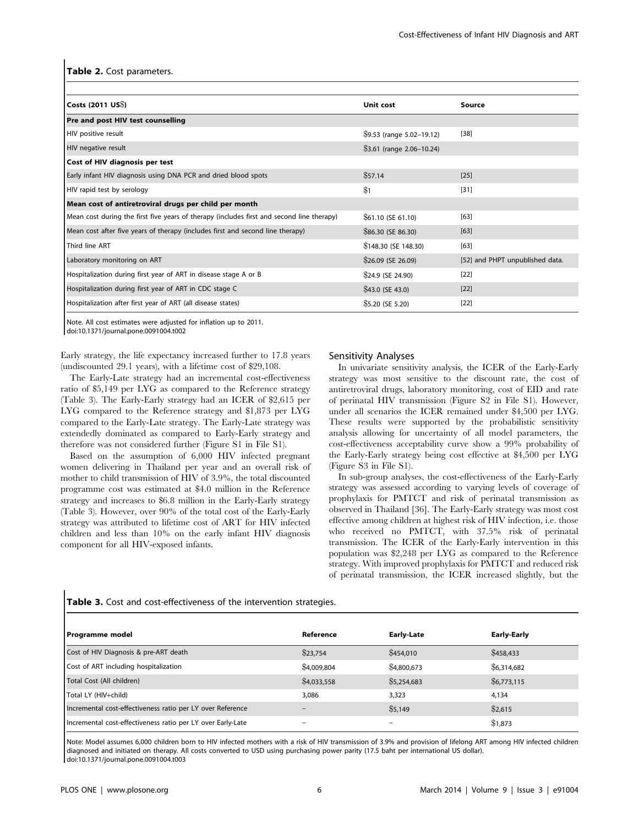#### Table 2. Cost parameters.

| Costs $(2011 \text{ US})$                                                                 | Unit cost                  | Source                          |
|-------------------------------------------------------------------------------------------|----------------------------|---------------------------------|
| Pre and post HIV test counselling                                                         |                            |                                 |
| HIV positive result<br>$$9.53$ (range $5.02-19.12$ )                                      |                            | $[38]$                          |
| HIV negative result                                                                       | $$3.61$ (range 2.06-10.24) |                                 |
| Cost of HIV diagnosis per test                                                            |                            |                                 |
| Early infant HIV diagnosis using DNA PCR and dried blood spots                            | \$57.14                    | $[25]$                          |
| HIV rapid test by serology                                                                | \$1                        | $[31]$                          |
| Mean cost of antiretroviral drugs per child per month                                     |                            |                                 |
| Mean cost during the first five years of therapy (includes first and second line therapy) | \$61.10 (SE 61.10)         | [63]                            |
| Mean cost after five years of therapy (includes first and second line therapy)            | \$86.30 (SE 86.30)         | [63]                            |
| Third line ART                                                                            | \$148.30 (SE 148.30)       | [63]                            |
| Laboratory monitoring on ART                                                              | $$26.09$ (SE 26.09)        | [52] and PHPT unpublished data. |
| Hospitalization during first year of ART in disease stage A or B                          | \$24.9 (SE 24.90)          | $[22]$                          |
| Hospitalization during first year of ART in CDC stage C                                   | $$43.0$ (SE 43.0)          | $[22]$                          |
| Hospitalization after first year of ART (all disease states)                              | \$5.20 (SE 5.20)           | $[22]$                          |

Note. All cost estimates were adjusted for inflation up to 2011.

doi:10.1371/journal.pone.0091004.t002

Early strategy, the life expectancy increased further to 17.8 years (undiscounted 29.1 years), with a lifetime cost of \$29,108.

The Early-Late strategy had an incremental cost-effectiveness ratio of \$5,149 per LYG as compared to the Reference strategy (Table 3). The Early-Early strategy had an ICER of \$2,615 per LYG compared to the Reference strategy and \$1,873 per LYG compared to the Early-Late strategy. The Early-Late strategy was extendedly dominated as compared to Early-Early strategy and therefore was not considered further (Figure S1 in File S1).

Based on the assumption of 6,000 HIV infected pregnant women delivering in Thailand per year and an overall risk of mother to child transmission of HIV of 3.9%, the total discounted programme cost was estimated at \$4.0 million in the Reference strategy and increases to \$6.8 million in the Early-Early strategy (Table 3). However, over 90% of the total cost of the Early-Early strategy was attributed to lifetime cost of ART for HIV infected children and less than 10% on the early infant HIV diagnosis component for all HIV-exposed infants.

#### Sensitivity Analyses

In univariate sensitivity analysis, the ICER of the Early-Early strategy was most sensitive to the discount rate, the cost of antiretroviral drugs, laboratory monitoring, cost of EID and rate of perinatal HIV transmission (Figure S2 in File S1). However, under all scenarios the ICER remained under \$4,500 per LYG. These results were supported by the probabilistic sensitivity analysis allowing for uncertainty of all model parameters, the cost-effectiveness acceptability curve show a 99% probability of the Early-Early strategy being cost effective at \$4,500 per LYG (Figure S3 in File S1).

In sub-group analyses, the cost-effectiveness of the Early-Early strategy was assessed according to varying levels of coverage of prophylaxis for PMTCT and risk of perinatal transmission as observed in Thailand [36]. The Early-Early strategy was most cost effective among children at highest risk of HIV infection, i.e. those who received no PMTCT, with 37.5% risk of perinatal transmission. The ICER of the Early-Early intervention in this population was \$2,248 per LYG as compared to the Reference strategy. With improved prophylaxis for PMTCT and reduced risk of perinatal transmission, the ICER increased slightly, but the

| <b>Programme model</b>                                      | Reference   | <b>Early-Late</b> | <b>Early-Early</b> |  |
|-------------------------------------------------------------|-------------|-------------------|--------------------|--|
| Cost of HIV Diagnosis & pre-ART death                       | \$23,754    | \$454,010         | \$458,433          |  |
| Cost of ART including hospitalization                       | \$4,009.804 | \$4,800,673       | \$6,314,682        |  |
| Total Cost (All children)                                   | \$4,033,558 | \$5,254,683       | \$6,773,115        |  |
| Total LY (HIV+child)                                        | 3.086       | 3,323             | 4.134              |  |
| Incremental cost-effectiveness ratio per LY over Reference  |             | \$5,149           | \$2,615            |  |
| Incremental cost-effectiveness ratio per LY over Early-Late |             |                   | \$1,873            |  |

Table 3. Cost and cost-effectiveness of the intervention strategies.

Note: Model assumes 6,000 children born to HIV infected mothers with a risk of HIV transmission of 3.9% and provision of lifelong ART among HIV infected children diagnosed and initiated on therapy. All costs converted to USD using purchasing power parity (17.5 baht per international US dollar). doi:10.1371/journal.pone.0091004.t003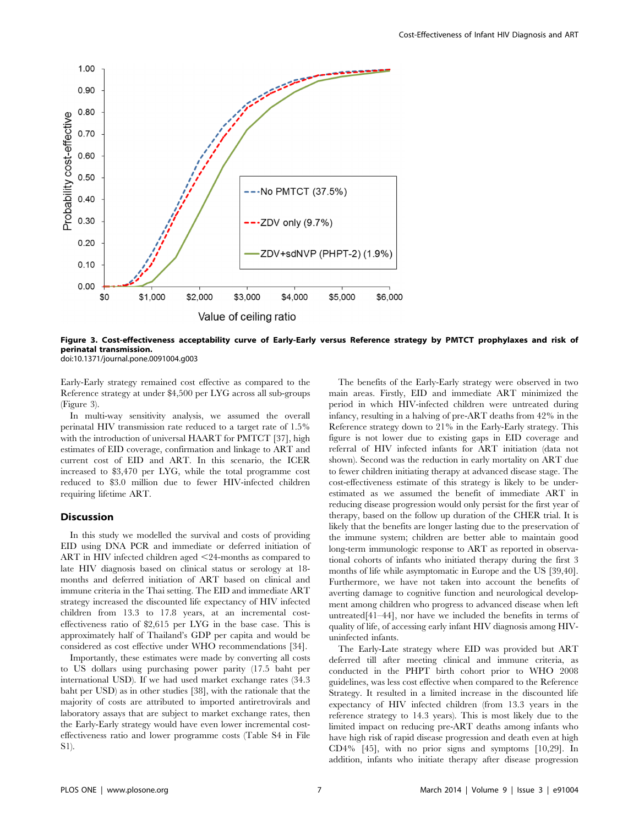

Figure 3. Cost-effectiveness acceptability curve of Early-Early versus Reference strategy by PMTCT prophylaxes and risk of perinatal transmission.

doi:10.1371/journal.pone.0091004.g003

Early-Early strategy remained cost effective as compared to the Reference strategy at under \$4,500 per LYG across all sub-groups (Figure 3).

In multi-way sensitivity analysis, we assumed the overall perinatal HIV transmission rate reduced to a target rate of 1.5% with the introduction of universal HAART for PMTCT [37], high estimates of EID coverage, confirmation and linkage to ART and current cost of EID and ART. In this scenario, the ICER increased to \$3,470 per LYG, while the total programme cost reduced to \$3.0 million due to fewer HIV-infected children requiring lifetime ART.

#### Discussion

In this study we modelled the survival and costs of providing EID using DNA PCR and immediate or deferred initiation of ART in HIV infected children aged  $\leq$ 24-months as compared to late HIV diagnosis based on clinical status or serology at 18 months and deferred initiation of ART based on clinical and immune criteria in the Thai setting. The EID and immediate ART strategy increased the discounted life expectancy of HIV infected children from 13.3 to 17.8 years, at an incremental costeffectiveness ratio of \$2,615 per LYG in the base case. This is approximately half of Thailand's GDP per capita and would be considered as cost effective under WHO recommendations [34].

Importantly, these estimates were made by converting all costs to US dollars using purchasing power parity (17.5 baht per international USD). If we had used market exchange rates (34.3 baht per USD) as in other studies [38], with the rationale that the majority of costs are attributed to imported antiretrovirals and laboratory assays that are subject to market exchange rates, then the Early-Early strategy would have even lower incremental costeffectiveness ratio and lower programme costs (Table S4 in File S1).

The benefits of the Early-Early strategy were observed in two main areas. Firstly, EID and immediate ART minimized the period in which HIV-infected children were untreated during infancy, resulting in a halving of pre-ART deaths from 42% in the Reference strategy down to 21% in the Early-Early strategy. This figure is not lower due to existing gaps in EID coverage and referral of HIV infected infants for ART initiation (data not shown). Second was the reduction in early mortality on ART due to fewer children initiating therapy at advanced disease stage. The cost-effectiveness estimate of this strategy is likely to be underestimated as we assumed the benefit of immediate ART in reducing disease progression would only persist for the first year of therapy, based on the follow up duration of the CHER trial. It is likely that the benefits are longer lasting due to the preservation of the immune system; children are better able to maintain good long-term immunologic response to ART as reported in observational cohorts of infants who initiated therapy during the first 3 months of life while asymptomatic in Europe and the US [39,40]. Furthermore, we have not taken into account the benefits of averting damage to cognitive function and neurological development among children who progress to advanced disease when left untreated[41–44], nor have we included the benefits in terms of quality of life, of accessing early infant HIV diagnosis among HIVuninfected infants.

The Early-Late strategy where EID was provided but ART deferred till after meeting clinical and immune criteria, as conducted in the PHPT birth cohort prior to WHO 2008 guidelines, was less cost effective when compared to the Reference Strategy. It resulted in a limited increase in the discounted life expectancy of HIV infected children (from 13.3 years in the reference strategy to 14.3 years). This is most likely due to the limited impact on reducing pre-ART deaths among infants who have high risk of rapid disease progression and death even at high CD4% [45], with no prior signs and symptoms [10,29]. In addition, infants who initiate therapy after disease progression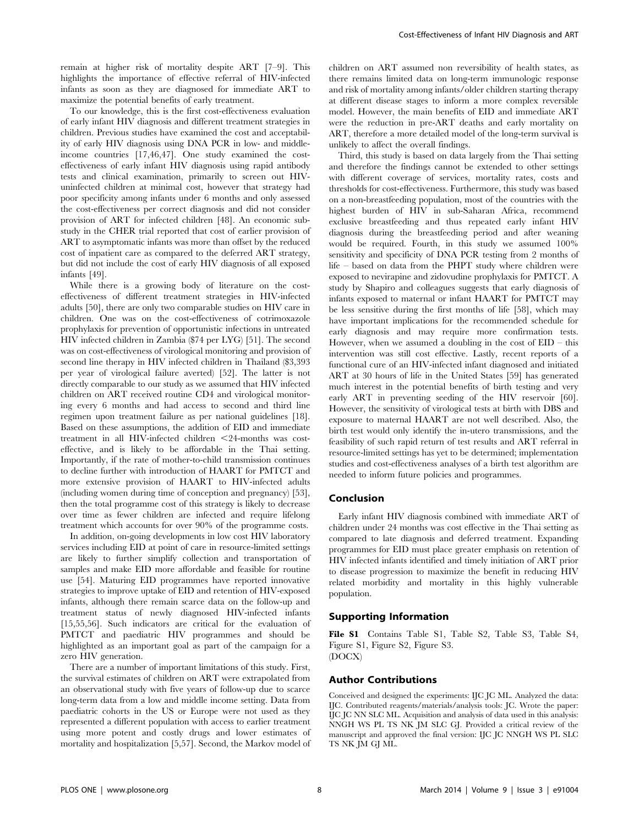remain at higher risk of mortality despite ART [7–9]. This highlights the importance of effective referral of HIV-infected infants as soon as they are diagnosed for immediate ART to maximize the potential benefits of early treatment.

To our knowledge, this is the first cost-effectiveness evaluation of early infant HIV diagnosis and different treatment strategies in children. Previous studies have examined the cost and acceptability of early HIV diagnosis using DNA PCR in low- and middleincome countries [17,46,47]. One study examined the costeffectiveness of early infant HIV diagnosis using rapid antibody tests and clinical examination, primarily to screen out HIVuninfected children at minimal cost, however that strategy had poor specificity among infants under 6 months and only assessed the cost-effectiveness per correct diagnosis and did not consider provision of ART for infected children [48]. An economic substudy in the CHER trial reported that cost of earlier provision of ART to asymptomatic infants was more than offset by the reduced cost of inpatient care as compared to the deferred ART strategy, but did not include the cost of early HIV diagnosis of all exposed infants [49].

While there is a growing body of literature on the costeffectiveness of different treatment strategies in HIV-infected adults [50], there are only two comparable studies on HIV care in children. One was on the cost-effectiveness of cotrimoxazole prophylaxis for prevention of opportunistic infections in untreated HIV infected children in Zambia (\$74 per LYG) [51]. The second was on cost-effectiveness of virological monitoring and provision of second line therapy in HIV infected children in Thailand (\$3,393 per year of virological failure averted) [52]. The latter is not directly comparable to our study as we assumed that HIV infected children on ART received routine CD4 and virological monitoring every 6 months and had access to second and third line regimen upon treatment failure as per national guidelines [18]. Based on these assumptions, the addition of EID and immediate treatment in all HIV-infected children  $\leq$ 24-months was costeffective, and is likely to be affordable in the Thai setting. Importantly, if the rate of mother-to-child transmission continues to decline further with introduction of HAART for PMTCT and more extensive provision of HAART to HIV-infected adults (including women during time of conception and pregnancy) [53], then the total programme cost of this strategy is likely to decrease over time as fewer children are infected and require lifelong treatment which accounts for over 90% of the programme costs.

In addition, on-going developments in low cost HIV laboratory services including EID at point of care in resource-limited settings are likely to further simplify collection and transportation of samples and make EID more affordable and feasible for routine use [54]. Maturing EID programmes have reported innovative strategies to improve uptake of EID and retention of HIV-exposed infants, although there remain scarce data on the follow-up and treatment status of newly diagnosed HIV-infected infants [15,55,56]. Such indicators are critical for the evaluation of PMTCT and paediatric HIV programmes and should be highlighted as an important goal as part of the campaign for a zero HIV generation.

There are a number of important limitations of this study. First, the survival estimates of children on ART were extrapolated from an observational study with five years of follow-up due to scarce long-term data from a low and middle income setting. Data from paediatric cohorts in the US or Europe were not used as they represented a different population with access to earlier treatment using more potent and costly drugs and lower estimates of mortality and hospitalization [5,57]. Second, the Markov model of children on ART assumed non reversibility of health states, as there remains limited data on long-term immunologic response and risk of mortality among infants/older children starting therapy at different disease stages to inform a more complex reversible model. However, the main benefits of EID and immediate ART were the reduction in pre-ART deaths and early mortality on ART, therefore a more detailed model of the long-term survival is unlikely to affect the overall findings.

Third, this study is based on data largely from the Thai setting and therefore the findings cannot be extended to other settings with different coverage of services, mortality rates, costs and thresholds for cost-effectiveness. Furthermore, this study was based on a non-breastfeeding population, most of the countries with the highest burden of HIV in sub-Saharan Africa, recommend exclusive breastfeeding and thus repeated early infant HIV diagnosis during the breastfeeding period and after weaning would be required. Fourth, in this study we assumed 100% sensitivity and specificity of DNA PCR testing from 2 months of life – based on data from the PHPT study where children were exposed to nevirapine and zidovudine prophylaxis for PMTCT. A study by Shapiro and colleagues suggests that early diagnosis of infants exposed to maternal or infant HAART for PMTCT may be less sensitive during the first months of life [58], which may have important implications for the recommended schedule for early diagnosis and may require more confirmation tests. However, when we assumed a doubling in the cost of  $EID - this$ intervention was still cost effective. Lastly, recent reports of a functional cure of an HIV-infected infant diagnosed and initiated ART at 30 hours of life in the United States [59] has generated much interest in the potential benefits of birth testing and very early ART in preventing seeding of the HIV reservoir [60]. However, the sensitivity of virological tests at birth with DBS and exposure to maternal HAART are not well described. Also, the birth test would only identify the in-utero transmissions, and the feasibility of such rapid return of test results and ART referral in resource-limited settings has yet to be determined; implementation studies and cost-effectiveness analyses of a birth test algorithm are needed to inform future policies and programmes.

#### Conclusion

Early infant HIV diagnosis combined with immediate ART of children under 24 months was cost effective in the Thai setting as compared to late diagnosis and deferred treatment. Expanding programmes for EID must place greater emphasis on retention of HIV infected infants identified and timely initiation of ART prior to disease progression to maximize the benefit in reducing HIV related morbidity and mortality in this highly vulnerable population.

#### Supporting Information

File S1 Contains Table S1, Table S2, Table S3, Table S4, Figure S1, Figure S2, Figure S3. (DOCX)

#### Author Contributions

Conceived and designed the experiments: IJC JC ML. Analyzed the data: IJC. Contributed reagents/materials/analysis tools: JC. Wrote the paper: IJC JC NN SLC ML. Acquisition and analysis of data used in this analysis: NNGH WS PL TS NK JM SLC GJ. Provided a critical review of the manuscript and approved the final version: IJC JC NNGH WS PL SLC TS NK JM GJ ML.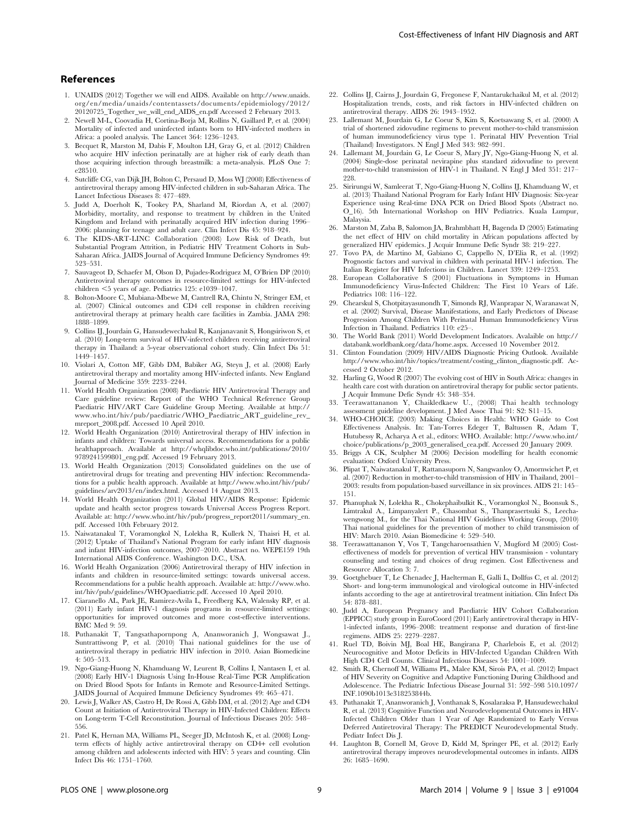- 1. UNAIDS (2012) Together we will end AIDS. Available on http://www.unaids. org/en/media/unaids/contentassets/documents/epidemiology/2012/ 20120725\_Together\_we\_will\_end\_AIDS\_en.pdf Accessed 2 February 2013.
- 2. Newell M-L, Coovadia H, Cortina-Borja M, Rollins N, Gaillard P, et al. (2004) Mortality of infected and uninfected infants born to HIV-infected mothers in Africa: a pooled analysis. The Lancet 364: 1236–1243.
- 3. Becquet R, Marston M, Dabis F, Moulton LH, Gray G, et al. (2012) Children who acquire HIV infection perinatally are at higher risk of early death than those acquiring infection through breastmilk: a meta-analysis. PLoS One 7: e28510.
- 4. Sutcliffe CG, van Dijk JH, Bolton C, Persaud D, Moss WJ (2008) Effectiveness of antiretroviral therapy among HIV-infected children in sub-Saharan Africa. The Lancet Infectious Diseases 8: 477–489.
- 5. Judd A, Doerholt K, Tookey PA, Sharland M, Riordan A, et al. (2007) Morbidity, mortality, and response to treatment by children in the United Kingdom and Ireland with perinatally acquired HIV infection during 1996– 2006: planning for teenage and adult care. Clin Infect Dis 45: 918–924.
- 6. The KIDS-ART-LINC Collaboration (2008) Low Risk of Death, but Substantial Program Attrition, in Pediatric HIV Treatment Cohorts in Sub-Saharan Africa. JAIDS Journal of Acquired Immune Deficiency Syndromes 49: 523–531.
- 7. Sauvageot D, Schaefer M, Olson D, Pujades-Rodriguez M, O'Brien DP (2010) Antiretroviral therapy outcomes in resource-limited settings for HIV-infected children <5 years of age. Pediatrics 125: e1039–1047.
- 8. Bolton-Moore C, Mubiana-Mbewe M, Cantrell RA, Chintu N, Stringer EM, et al. (2007) Clinical outcomes and CD4 cell response in children receiving antiretroviral therapy at primary health care facilities in Zambia. JAMA 298: 1888–1899.
- 9. Collins IJ, Jourdain G, Hansudewechakul R, Kanjanavanit S, Hongsiriwon S, et al. (2010) Long-term survival of HIV-infected children receiving antiretroviral therapy in Thailand: a 5-year observational cohort study. Clin Infect Dis 51: 1449–1457.
- 10. Violari A, Cotton MF, Gibb DM, Babiker AG, Steyn J, et al. (2008) Early antiretroviral therapy and mortality among HIV-infected infants. New England Journal of Medicine 359: 2233–2244.
- 11. World Health Organization (2008) Paediatric HIV Antiretroviral Therapy and Care guideline review: Report of the WHO Technical Reference Group Paediatric HIV/ART Care Guideline Group Meeting. Available at http:// www.who.int/hiv/pub/paediatric/WHO\_Paediatric\_ART\_guideline\_rev\_ mreport\_2008.pdf. Accessed 10 April 2010.
- 12. World Health Organization (2010) Antiretroviral therapy of HIV infection in infants and children: Towards universal access. Recommendations for a public healthapproach. Available at http://whqlibdoc.who.int/publications/2010/ 9789241599801\_eng.pdf. Accessed 19 February 2013.
- 13. World Health Organization (2013) Consolidated guidelines on the use of antiretroviral drugs for treating and preventing HIV infection: Recommendations for a public health approach. Available at http://www.who.int/hiv/pub/ guidelines/arv2013/en/index.html. Accessed 14 August 2013.
- 14. World Health Organization (2011) Global HIV/AIDS Response: Epidemic update and health sector progress towards Universal Access Progress Report. Available at: http://www.who.int/hiv/pub/progress\_report2011/summary\_en. pdf. Accessed 10th February 2012.
- 15. Naiwatanakul T, Voramongkol N, Lolekha R, Kullerk N, Thaisri H, et al. (2012) Uptake of Thailand's National Program for early infant HIV diagnosis and infant HIV-infection outcomes, 2007–2010. Abstract no. WEPE159 19th International AIDS Conference. Washington D.C., USA.
- 16. World Health Organization (2006) Antiretroviral therapy of HIV infection in infants and children in resource-limited settings: towards universal access. Recommendations for a public health approach. Available at: http://www.who. int/hiv/pub/guidelines/WHOpaediatric.pdf. Accessed 10 April 2010.
- 17. Ciaranello AL, Park JE, Ramirez-Avila L, Freedberg KA, Walensky RP, et al. (2011) Early infant HIV-1 diagnosis programs in resource-limited settings: opportunities for improved outcomes and more cost-effective interventions. BMC Med 9: 59.
- 18. Puthanakit T, Tangsathapornpong A, Ananworanich J, Wongsawat J., Suntrattiwong P, et al. (2010) Thai national guidelines for the use of antiretroviral therapy in pediatric HIV infection in 2010. Asian Biomedicine 4: 505–513.
- 19. Ngo-Giang-Huong N, Khamduang W, Leurent B, Collins I, Nantasen I, et al. (2008) Early HIV-1 Diagnosis Using In-House Real-Time PCR Amplification on Dried Blood Spots for Infants in Remote and Resource-Limited Settings. JAIDS Journal of Acquired Immune Deficiency Syndromes 49: 465–471.
- 20. Lewis J, Walker AS, Castro H, De Rossi A, Gibb DM, et al. (2012) Age and CD4 Count at Initiation of Antiretroviral Therapy in HIV-Infected Children: Effects on Long-term T-Cell Reconstitution. Journal of Infectious Diseases 205: 548– 556.
- 21. Patel K, Hernan MA, Williams PL, Seeger JD, McIntosh K, et al. (2008) Longterm effects of highly active antiretroviral therapy on CD4+ cell evolution among children and adolescents infected with HIV: 5 years and counting. Clin Infect Dis 46: 1751–1760.
- 22. Collins IJ, Cairns J, Jourdain G, Fregonese F, Nantarukchaikul M, et al. (2012) Hospitalization trends, costs, and risk factors in HIV-infected children on antiretroviral therapy. AIDS 26: 1943–1952.
- 23. Lallemant M, Jourdain G, Le Coeur S, Kim S, Koetsawang S, et al. (2000) A trial of shortened zidovudine regimens to prevent mother-to-child transmission of human immunodeficiency virus type 1. Perinatal HIV Prevention Trial (Thailand) Investigators. N Engl J Med 343: 982–991.
- 24. Lallemant M, Jourdain G, Le Coeur S, Mary JY, Ngo-Giang-Huong N, et al. (2004) Single-dose perinatal nevirapine plus standard zidovudine to prevent mother-to-child transmission of HIV-1 in Thailand. N Engl J Med 351: 217– 228.
- 25. Sirirungsi W, Samleerat T, Ngo-Giang-Huong N, Collins IJ, Khamduang W, et al. (2013) Thailand National Program for Early Infant HIV Diagnosis: Six-year Experience using Real-time DNA PCR on Dried Blood Spots (Abstract no. O\_16). 5th International Workshop on HIV Pediatrics. Kuala Lumpur, Malaysia.
- 26. Marston M, Zaba B, Salomon JA, Brahmbhatt H, Bagenda D (2005) Estimating the net effect of HIV on child mortality in African populations affected by generalized HIV epidemics. J Acquir Immune Defic Syndr 38: 219–227.
- 27. Tovo PA, de Martino M, Gabiano C, Cappello N, D'Elia R, et al. (1992) Prognostic factors and survival in children with perinatal HIV-1 infection. The Italian Register for HIV Infections in Children. Lancet 339: 1249–1253.
- 28. European Collaborative S (2001) Fluctuations in Symptoms in Human Immunodeficiency Virus-Infected Children: The First 10 Years of Life. Pediatrics 108: 116–122.
- 29. Chearskul S, Chotpitayasunondh T, Simonds RJ, Wanprapar N, Waranawat N, et al. (2002) Survival, Disease Manifestations, and Early Predictors of Disease Progression Among Children With Perinatal Human Immunodeficiency Virus Infection in Thailand. Pediatrics 110: e25–.
- 30. The World Bank (2011) World Development Indicators. Avalaible on http:// databank.worldbank.org/data/home.aspx. Accessed 10 November 2012. 31. Clinton Foundation (2009) HIV/AIDS Diagnostic Pricing Outlook. Available
- http://www.who.int/hiv/topics/treatment/costing\_clinton\_diagnostic.pdf. Accessed 2 October 2012.
- 32. Harling G, Wood R (2007) The evolving cost of HIV in South Africa: changes in health care cost with duration on antiretroviral therapy for public sector patients. J Acquir Immune Defic Syndr 45: 348–354.
- 33. Teerawattananon Y, Chaikledkaew U., (2008) Thai health technology assessment guideline development. J Med Assoc Thai 91: S2: S11–15.
- 34. WHO-CHOICE (2003) Making Choices in Health: WHO Guide to Cost Effectiveness Analysis. In: Tan-Torres Edeger T, Baltussen R, Adam T, Hutubessy R, Acharya A et al., editors: WHO. Available: http://www.who.int/ choice/publications/p\_2003\_generalised\_cea.pdf. Accessed 20 January 2009.
- 35. Briggs A CK, Sculpher M (2006) Decision modelling for health economic valuation: Oxford University Press.
- 36. Plipat T, Naiwatanakul T, Rattanasuporn N, Sangwanloy O, Amornwichet P, et al. (2007) Reduction in mother-to-child transmission of HIV in Thailand, 2001– 2003: results from population-based surveillance in six provinces. AIDS 21: 145– 151.
- 37. Phanuphak N, Lolekha R., Chokephaibulkit K., Voramongkol N., Boonsuk S., Limtrakul A., Limpanyalert P., Chasombat S., Thanprasertsuki S., Leechawengwong M., for the Thai National HIV Guidelines Working Group, (2010) Thai national guidelines for the prevention of mother to child transmission of HIV: March 2010. Asian Biomedicine 4: 529–540.
- 38. Teerawattananon Y, Vos T, Tangcharoensathien V, Mugford M (2005) Costeffectiveness of models for prevention of vertical HIV transmission - voluntary counseling and testing and choices of drug regimen. Cost Effectiveness and Resource Allocation 3: 7.
- 39. Goetghebuer T, Le Chenadec J, Haelterman E, Galli L, Dollfus C, et al. (2012) Short- and long-term immunological and virological outcome in HIV-infected infants according to the age at antiretroviral treatment initiation. Clin Infect Dis 54: 878–881.
- 40. Judd A, European Pregnancy and Paediatric HIV Cohort Collaboration (EPPICC) study group in EuroCoord (2011) Early antiretroviral therapy in HIV-1-infected infants, 1996–2008: treatment response and duration of first-line regimens. AIDS 25: 2279–2287.
- 41. Ruel TD, Boivin MJ, Boal HE, Bangirana P, Charlebois E, et al. (2012) Neurocognitive and Motor Deficits in HIV-Infected Ugandan Children With High CD4 Cell Counts. Clinical Infectious Diseases 54: 1001–1009.
- 42. Smith R, Chernoff M, Williams PL, Malee KM, Sirois PA, et al. (2012) Impact of HIV Severity on Cognitive and Adaptive Functioning During Childhood and Adolescence. The Pediatric Infectious Disease Journal 31: 592–598 510.1097/ INF.1090b1013e318253844b.
- 43. Puthanakit T, Ananworanich J, Vonthanak S, Kosalaraksa P, Hansudewechakul R, et al. (2013) Cognitive Function and Neurodevelopmental Outcomes in HIV-Infected Children Older than 1 Year of Age Randomized to Early Versus Deferred Antiretroviral Therapy: The PREDICT Neurodevelopmental Study. Pediatr Infect Dis J.
- 44. Laughton B, Cornell M, Grove D, Kidd M, Springer PE, et al. (2012) Early antiretroviral therapy improves neurodevelopmental outcomes in infants. AIDS 26: 1685–1690.